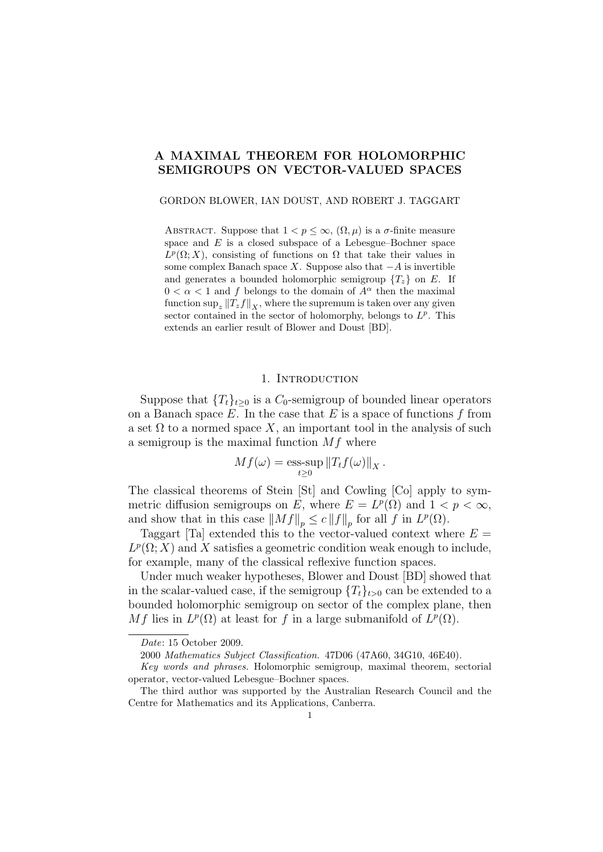# A MAXIMAL THEOREM FOR HOLOMORPHIC SEMIGROUPS ON VECTOR-VALUED SPACES

#### GORDON BLOWER, IAN DOUST, AND ROBERT J. TAGGART

ABSTRACT. Suppose that  $1 < p \leq \infty$ ,  $(\Omega, \mu)$  is a  $\sigma$ -finite measure space and  $E$  is a closed subspace of a Lebesgue–Bochner space  $L^p(\Omega; X)$ , consisting of functions on  $\Omega$  that take their values in some complex Banach space X. Suppose also that  $-A$  is invertible and generates a bounded holomorphic semigroup  $\{T_z\}$  on E. If  $0 < \alpha < 1$  and f belongs to the domain of  $A^{\alpha}$  then the maximal function  $\sup_z ||T_z f||_X$ , where the supremum is taken over any given sector contained in the sector of holomorphy, belongs to  $L^p$ . This extends an earlier result of Blower and Doust [BD].

# 1. INTRODUCTION

Suppose that  ${T<sub>t</sub>}<sub>t>0</sub>$  is a  $C_0$ -semigroup of bounded linear operators on a Banach space  $E$ . In the case that  $E$  is a space of functions  $f$  from a set  $\Omega$  to a normed space X, an important tool in the analysis of such a semigroup is the maximal function  $Mf$  where

$$
Mf(\omega) = \underset{t \geq 0}{\text{ess-sup}} \|T_t f(\omega)\|_X.
$$

The classical theorems of Stein [St] and Cowling [Co] apply to symmetric diffusion semigroups on E, where  $E = L^p(\Omega)$  and  $1 < p < \infty$ , and show that in this case  $||Mf||_p \leq c ||f||_p$  for all f in  $L^p(\Omega)$ .

Taggart [Ta] extended this to the vector-valued context where  $E =$  $L^p(\Omega; X)$  and X satisfies a geometric condition weak enough to include, for example, many of the classical reflexive function spaces.

Under much weaker hypotheses, Blower and Doust [BD] showed that in the scalar-valued case, if the semigroup  $\{T_t\}_{t>0}$  can be extended to a bounded holomorphic semigroup on sector of the complex plane, then Mf lies in  $L^p(\Omega)$  at least for f in a large submanifold of  $L^p(\Omega)$ .

Date: 15 October 2009.

<sup>2000</sup> Mathematics Subject Classification. 47D06 (47A60, 34G10, 46E40).

Key words and phrases. Holomorphic semigroup, maximal theorem, sectorial operator, vector-valued Lebesgue–Bochner spaces.

The third author was supported by the Australian Research Council and the Centre for Mathematics and its Applications, Canberra.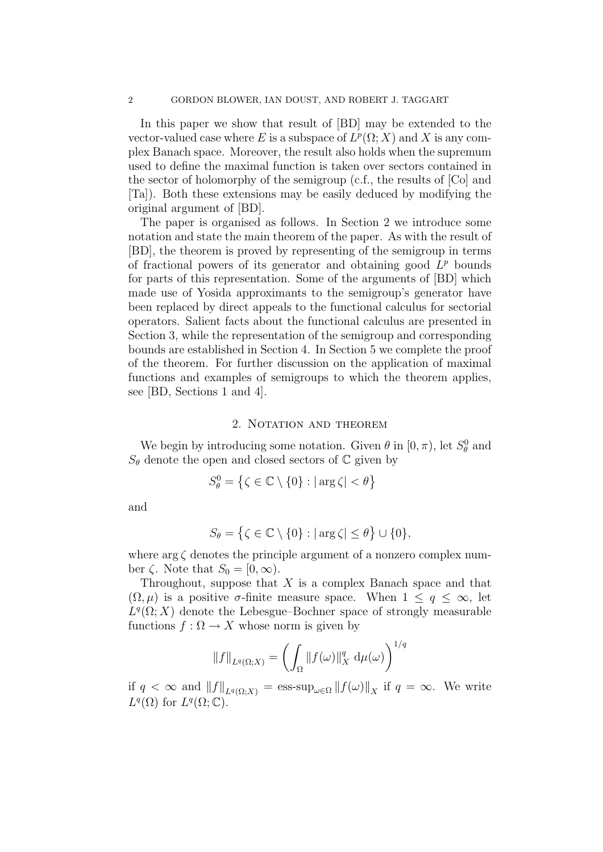In this paper we show that result of [BD] may be extended to the vector-valued case where E is a subspace of  $L^p(\Omega; X)$  and X is any complex Banach space. Moreover, the result also holds when the supremum used to define the maximal function is taken over sectors contained in the sector of holomorphy of the semigroup (c.f., the results of [Co] and [Ta]). Both these extensions may be easily deduced by modifying the original argument of [BD].

The paper is organised as follows. In Section 2 we introduce some notation and state the main theorem of the paper. As with the result of [BD], the theorem is proved by representing of the semigroup in terms of fractional powers of its generator and obtaining good  $L^p$  bounds for parts of this representation. Some of the arguments of [BD] which made use of Yosida approximants to the semigroup's generator have been replaced by direct appeals to the functional calculus for sectorial operators. Salient facts about the functional calculus are presented in Section 3, while the representation of the semigroup and corresponding bounds are established in Section 4. In Section 5 we complete the proof of the theorem. For further discussion on the application of maximal functions and examples of semigroups to which the theorem applies, see [BD, Sections 1 and 4].

# 2. NOTATION AND THEOREM

We begin by introducing some notation. Given  $\theta$  in  $[0, \pi)$ , let  $S^0_{\theta}$  and  $S_{\theta}$  denote the open and closed sectors of  $\mathbb C$  given by

$$
S^0_\theta = \left\{ \zeta \in \mathbb{C} \setminus \{0\} : |\arg \zeta| < \theta \right\}
$$

and

$$
S_{\theta} = \{ \zeta \in \mathbb{C} \setminus \{0\} : |\arg \zeta| \le \theta \} \cup \{0\},\
$$

where  $\arg \zeta$  denotes the principle argument of a nonzero complex number  $\zeta$ . Note that  $S_0 = [0, \infty)$ .

Throughout, suppose that  $X$  is a complex Banach space and that  $(\Omega, \mu)$  is a positive  $\sigma$ -finite measure space. When  $1 \leq q \leq \infty$ , let  $L^q(\Omega; X)$  denote the Lebesgue–Bochner space of strongly measurable functions  $f : \Omega \to X$  whose norm is given by

$$
||f||_{L^q(\Omega;X)} = \left(\int_{\Omega} ||f(\omega)||_X^q \, d\mu(\omega)\right)^{1/q}
$$

if  $q < \infty$  and  $||f||_{L^q(\Omega;X)} = \text{ess-sup}_{\omega \in \Omega} ||f(\omega)||_X$  if  $q = \infty$ . We write  $L^q(\Omega)$  for  $L^q(\Omega;\mathbb{C})$ .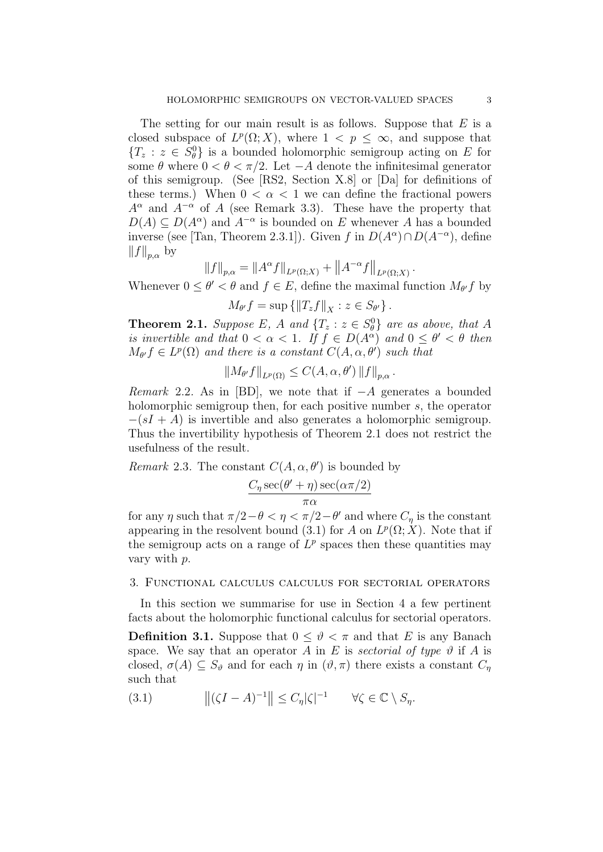The setting for our main result is as follows. Suppose that  $E$  is a closed subspace of  $L^p(\Omega; X)$ , where  $1 \leq p \leq \infty$ , and suppose that  ${T_z : z \in S_\theta^0}$  is a bounded holomorphic semigroup acting on E for some  $\theta$  where  $0 < \theta < \pi/2$ . Let  $-A$  denote the infinitesimal generator of this semigroup. (See [RS2, Section X.8] or [Da] for definitions of these terms.) When  $0 < \alpha < 1$  we can define the fractional powers  $A^{\alpha}$  and  $A^{-\alpha}$  of A (see Remark 3.3). These have the property that  $D(A) \subseteq D(A^{\alpha})$  and  $A^{-\alpha}$  is bounded on E whenever A has a bounded inverse (see [Tan, Theorem 2.3.1]). Given f in  $D(A^{\alpha}) \cap D(A^{-\alpha})$ , define  $||f||_{p,\alpha}$  by

$$
||f||_{p,\alpha} = ||A^{\alpha}f||_{L^p(\Omega;X)} + ||A^{-\alpha}f||_{L^p(\Omega;X)}
$$

.

Whenever  $0 \le \theta' < \theta$  and  $f \in E$ , define the maximal function  $M_{\theta'} f$  by

$$
M_{\theta'}f = \sup \left\{ ||T_zf||_X : z \in S_{\theta'} \right\}.
$$

**Theorem 2.1.** Suppose E, A and  $\{T_z : z \in S_\theta^0\}$  are as above, that A is invertible and that  $0 < \alpha < 1$ . If  $f \in D(A^{\alpha})$  and  $0 \le \theta' < \theta$  then  $M_{\theta'}f \in L^p(\Omega)$  and there is a constant  $C(A, \alpha, \theta')$  such that

$$
||M_{\theta'}f||_{L^p(\Omega)} \leq C(A,\alpha,\theta') ||f||_{p,\alpha}.
$$

Remark 2.2. As in [BD], we note that if  $-A$  generates a bounded holomorphic semigroup then, for each positive number s, the operator  $-(sI + A)$  is invertible and also generates a holomorphic semigroup. Thus the invertibility hypothesis of Theorem 2.1 does not restrict the usefulness of the result.

Remark 2.3. The constant  $C(A, \alpha, \theta')$  is bounded by

$$
\frac{C_{\eta} \sec(\theta' + \eta) \sec(\alpha \pi/2)}{\pi \alpha}
$$

for any  $\eta$  such that  $\pi/2 - \theta < \eta < \pi/2 - \theta'$  and where  $C_{\eta}$  is the constant appearing in the resolvent bound (3.1) for A on  $L^p(\Omega; X)$ . Note that if the semigroup acts on a range of  $L^p$  spaces then these quantities may vary with p.

# 3. Functional calculus calculus for sectorial operators

In this section we summarise for use in Section 4 a few pertinent facts about the holomorphic functional calculus for sectorial operators. **Definition 3.1.** Suppose that  $0 \leq \vartheta \leq \pi$  and that E is any Banach space. We say that an operator A in E is sectorial of type  $\vartheta$  if A is closed,  $\sigma(A) \subseteq S_{\vartheta}$  and for each  $\eta$  in  $(\vartheta, \pi)$  there exists a constant  $C_{\eta}$ such that

(3.1)  $||(\zeta I - A)^{-1}|| \leq C_{\eta} |\zeta|^{-1} \qquad \forall \zeta \in \mathbb{C} \setminus S_{\eta}.$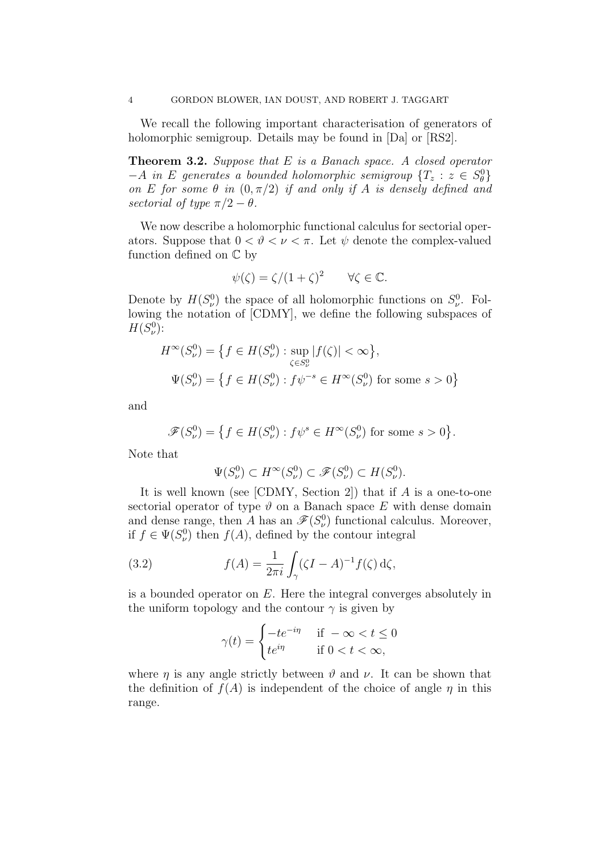We recall the following important characterisation of generators of holomorphic semigroup. Details may be found in [Da] or [RS2].

**Theorem 3.2.** Suppose that  $E$  is a Banach space. A closed operator  $-A$  in E generates a bounded holomorphic semigroup  $\{T_z : z \in S_\theta^0\}$ on E for some  $\theta$  in  $(0, \pi/2)$  if and only if A is densely defined and sectorial of type  $\pi/2 - \theta$ .

We now describe a holomorphic functional calculus for sectorial operators. Suppose that  $0 < \vartheta < \nu < \pi$ . Let  $\psi$  denote the complex-valued function defined on C by

$$
\psi(\zeta) = \zeta/(1+\zeta)^2 \qquad \forall \zeta \in \mathbb{C}.
$$

Denote by  $H(S_v^0)$  the space of all holomorphic functions on  $S_v^0$ . Following the notation of [CDMY], we define the following subspaces of  $H(S^0_\nu)$ :

$$
H^{\infty}(S_{\nu}^{0}) = \left\{ f \in H(S_{\nu}^{0}) : \sup_{\zeta \in S_{\nu}^{0}} |f(\zeta)| < \infty \right\},\
$$
  

$$
\Psi(S_{\nu}^{0}) = \left\{ f \in H(S_{\nu}^{0}) : f\psi^{-s} \in H^{\infty}(S_{\nu}^{0}) \text{ for some } s > 0 \right\}
$$

and

$$
\mathscr{F}(S^0_\nu) = \left\{ f \in H(S^0_\nu) : f\psi^s \in H^\infty(S^0_\nu) \text{ for some } s > 0 \right\}.
$$

Note that

$$
\Psi(S_{\nu}^0) \subset H^{\infty}(S_{\nu}^0) \subset \mathscr{F}(S_{\nu}^0) \subset H(S_{\nu}^0).
$$

It is well known (see  $[CDMY, Section 2]$ ) that if A is a one-to-one sectorial operator of type  $\vartheta$  on a Banach space E with dense domain and dense range, then A has an  $\mathscr{F}(S_v^0)$  functional calculus. Moreover, if  $f \in \Psi(S_v^0)$  then  $f(A)$ , defined by the contour integral

(3.2) 
$$
f(A) = \frac{1}{2\pi i} \int_{\gamma} (\zeta I - A)^{-1} f(\zeta) d\zeta,
$$

is a bounded operator on  $E$ . Here the integral converges absolutely in the uniform topology and the contour  $\gamma$  is given by

$$
\gamma(t) = \begin{cases}\n-t e^{-i\eta} & \text{if } -\infty < t \le 0 \\
t e^{i\eta} & \text{if } 0 < t < \infty,\n\end{cases}
$$

where  $\eta$  is any angle strictly between  $\vartheta$  and  $\nu$ . It can be shown that the definition of  $f(A)$  is independent of the choice of angle  $\eta$  in this range.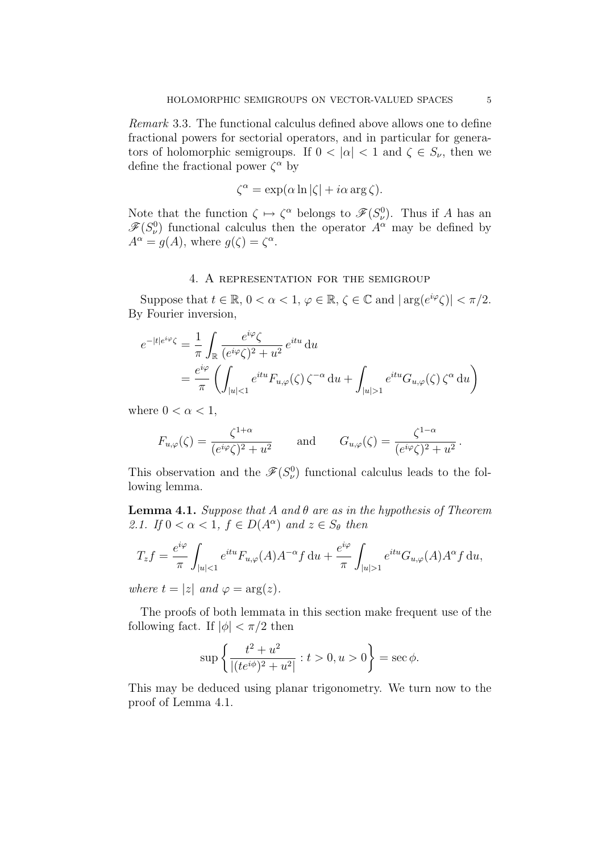Remark 3.3. The functional calculus defined above allows one to define fractional powers for sectorial operators, and in particular for generators of holomorphic semigroups. If  $0 < |\alpha| < 1$  and  $\zeta \in S_{\nu}$ , then we define the fractional power  $\zeta^{\alpha}$  by

$$
\zeta^{\alpha} = \exp(\alpha \ln |\zeta| + i\alpha \arg \zeta).
$$

Note that the function  $\zeta \mapsto \zeta^{\alpha}$  belongs to  $\mathscr{F}(S_{\nu}^{0})$ . Thus if A has an  $\mathscr{F}(S_{\nu}^0)$  functional calculus then the operator  $A^{\alpha}$  may be defined by  $A^{\alpha} = g(A)$ , where  $g(\zeta) = \zeta^{\alpha}$ .

## 4. A representation for the semigroup

Suppose that  $t \in \mathbb{R}$ ,  $0 < \alpha < 1$ ,  $\varphi \in \mathbb{R}$ ,  $\zeta \in \mathbb{C}$  and  $|\arg(e^{i\varphi}\zeta)| < \pi/2$ . By Fourier inversion,

$$
e^{-|t|e^{i\varphi}\zeta} = \frac{1}{\pi} \int_{\mathbb{R}} \frac{e^{i\varphi}\zeta}{(e^{i\varphi}\zeta)^2 + u^2} e^{itu} du
$$
  
= 
$$
\frac{e^{i\varphi}}{\pi} \left( \int_{|u|<1} e^{itu} F_{u,\varphi}(\zeta) \zeta^{-\alpha} du + \int_{|u|>1} e^{itu} G_{u,\varphi}(\zeta) \zeta^{\alpha} du \right)
$$

where  $0 < \alpha < 1$ ,

$$
F_{u,\varphi}(\zeta) = \frac{\zeta^{1+\alpha}}{(e^{i\varphi}\zeta)^2 + u^2} \quad \text{and} \quad G_{u,\varphi}(\zeta) = \frac{\zeta^{1-\alpha}}{(e^{i\varphi}\zeta)^2 + u^2}.
$$

This observation and the  $\mathscr{F}(S_v^0)$  functional calculus leads to the following lemma.

**Lemma 4.1.** Suppose that A and  $\theta$  are as in the hypothesis of Theorem 2.1. If  $0 < \alpha < 1$ ,  $f \in D(A^{\alpha})$  and  $z \in S_{\theta}$  then

$$
T_z f = \frac{e^{i\varphi}}{\pi} \int_{|u|<1} e^{itu} F_{u,\varphi}(A) A^{-\alpha} f \, \mathrm{d}u + \frac{e^{i\varphi}}{\pi} \int_{|u|>1} e^{itu} G_{u,\varphi}(A) A^{\alpha} f \, \mathrm{d}u,
$$

where  $t = |z|$  and  $\varphi = \arg(z)$ .

The proofs of both lemmata in this section make frequent use of the following fact. If  $|\phi| < \pi/2$  then

$$
\sup \left\{ \frac{t^2 + u^2}{|(te^{i\phi})^2 + u^2|} : t > 0, u > 0 \right\} = \sec \phi.
$$

This may be deduced using planar trigonometry. We turn now to the proof of Lemma 4.1.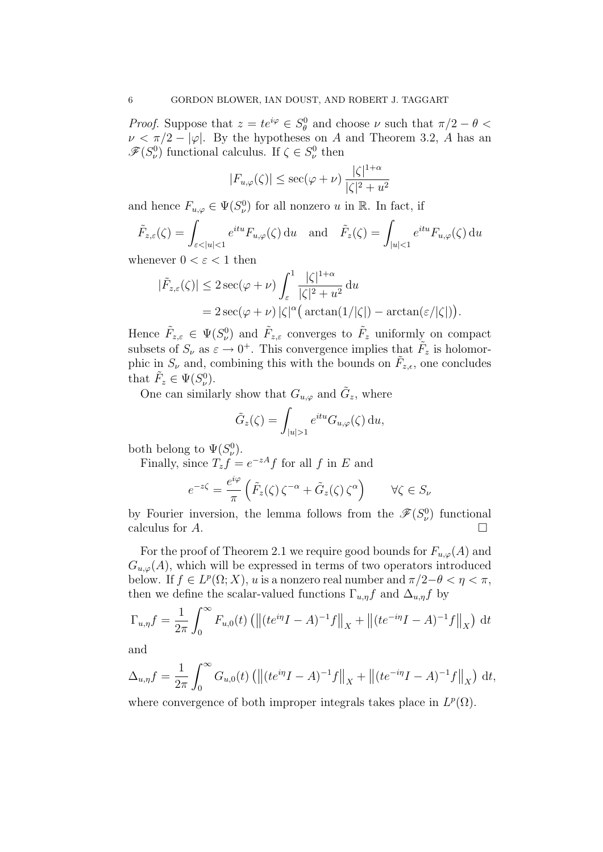*Proof.* Suppose that  $z = te^{i\varphi} \in S^0_\theta$  and choose  $\nu$  such that  $\pi/2 - \theta <$  $\nu < \pi/2 - |\varphi|$ . By the hypotheses on A and Theorem 3.2, A has an  $\mathscr{F}(S_{\nu}^0)$  functional calculus. If  $\zeta \in S_{\nu}^0$  then

$$
|F_{u,\varphi}(\zeta)| \le \sec(\varphi + \nu) \, \frac{|\zeta|^{1+\alpha}}{|\zeta|^2 + u^2}
$$

and hence  $F_{u,\varphi} \in \Psi(S_{\nu}^0)$  for all nonzero u in  $\mathbb{R}$ . In fact, if

$$
\tilde{F}_{z,\varepsilon}(\zeta) = \int_{\varepsilon < |u| < 1} e^{itu} F_{u,\varphi}(\zeta) \, \mathrm{d}u \quad \text{and} \quad \tilde{F}_z(\zeta) = \int_{|u| < 1} e^{itu} F_{u,\varphi}(\zeta) \, \mathrm{d}u
$$

whenever  $0 < \varepsilon < 1$  then

$$
\begin{aligned} |\tilde{F}_{z,\varepsilon}(\zeta)| &\leq 2\sec(\varphi+\nu) \int_{\varepsilon}^{1} \frac{|\zeta|^{1+\alpha}}{|\zeta|^2 + u^2} \, \mathrm{d}u \\ &= 2\sec(\varphi+\nu) \, |\zeta|^{\alpha} \big( \arctan(1/|\zeta|) - \arctan(\varepsilon/|\zeta|) \big). \end{aligned}
$$

Hence  $\tilde{F}_{z,\varepsilon} \in \Psi(S_{\nu}^0)$  and  $\tilde{F}_{z,\varepsilon}$  converges to  $\tilde{F}_z$  uniformly on compact subsets of  $S_{\nu}$  as  $\varepsilon \to 0^+$ . This convergence implies that  $\tilde{F}_z$  is holomorphic in  $S_{\nu}$  and, combining this with the bounds on  $\tilde{F}_{z,\epsilon}$ , one concludes that  $\tilde{F}_z \in \Psi(S_\nu^0)$ .

One can similarly show that  $G_{u,\varphi}$  and  $\tilde{G}_z$ , where

$$
\tilde{G}_z(\zeta) = \int_{|u|>1} e^{itu} G_{u,\varphi}(\zeta) \, \mathrm{d}u,
$$

both belong to  $\Psi(S_{\nu}^0)$ .

Finally, since  $T_z f = e^{-zA} f$  for all f in E and

$$
e^{-z\zeta} = \frac{e^{i\varphi}}{\pi} \left( \tilde{F}_z(\zeta) \, \zeta^{-\alpha} + \tilde{G}_z(\zeta) \, \zeta^{\alpha} \right) \qquad \forall \zeta \in S_{\nu}
$$

by Fourier inversion, the lemma follows from the  $\mathscr{F}(S_v^0)$  functional calculus for  $A$ .

For the proof of Theorem 2.1 we require good bounds for  $F_{u,\varphi}(A)$  and  $G_{u,\varphi}(A)$ , which will be expressed in terms of two operators introduced below. If  $f \in L^p(\Omega; X)$ , u is a nonzero real number and  $\pi/2 - \theta < \eta < \pi$ , then we define the scalar-valued functions  $\Gamma_{u,\eta}f$  and  $\Delta_{u,\eta}f$  by

$$
\Gamma_{u,\eta} f = \frac{1}{2\pi} \int_0^{\infty} F_{u,0}(t) \left( \left\| (te^{i\eta} I - A)^{-1} f \right\|_X + \left\| (te^{-i\eta} I - A)^{-1} f \right\|_X \right) dt
$$

and

$$
\Delta_{u,\eta}f = \frac{1}{2\pi} \int_0^{\infty} G_{u,0}(t) \left( \left\| (te^{i\eta}I - A)^{-1}f \right\|_X + \left\| (te^{-i\eta}I - A)^{-1}f \right\|_X \right) dt,
$$

where convergence of both improper integrals takes place in  $L^p(\Omega)$ .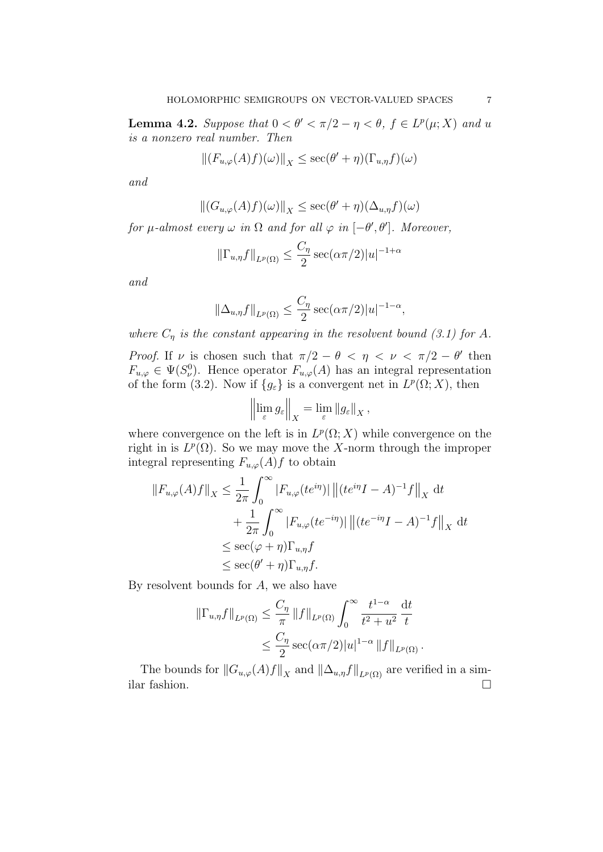**Lemma 4.2.** Suppose that  $0 < \theta' < \pi/2 - \eta < \theta$ ,  $f \in L^p(\mu; X)$  and u is a nonzero real number. Then

$$
\left\|(F_{u,\varphi}(A)f)(\omega)\right\|_X\leq \sec(\theta'+\eta)(\Gamma_{u,\eta}f)(\omega)
$$

and

$$
\left\| (G_{u,\varphi}(A)f)(\omega) \right\|_X \le \sec(\theta' + \eta)(\Delta_{u,\eta}f)(\omega)
$$

for  $\mu$ -almost every  $\omega$  in  $\Omega$  and for all  $\varphi$  in  $[-\theta', \theta']$ . Moreover,

$$
\left\|\Gamma_{u,\eta}f\right\|_{L^{p}(\Omega)} \leq \frac{C_{\eta}}{2} \sec(\alpha \pi/2)|u|^{-1+\alpha}
$$

and

$$
\|\Delta_{u,\eta}f\|_{L^p(\Omega)} \le \frac{C_\eta}{2} \sec(\alpha \pi/2)|u|^{-1-\alpha},
$$

where  $C_{\eta}$  is the constant appearing in the resolvent bound (3.1) for A.

Proof. If  $\nu$  is chosen such that  $\pi/2 - \theta < \eta < \nu < \pi/2 - \theta'$  then  $F_{u,\varphi} \in \Psi(S_{\nu}^0)$ . Hence operator  $F_{u,\varphi}(A)$  has an integral representation of the form (3.2). Now if  ${g_{\varepsilon}}$  is a convergent net in  $L^p(\Omega; X)$ , then

$$
\left\|\lim_{\varepsilon} g_{\varepsilon}\right\|_{X} = \lim_{\varepsilon} \|g_{\varepsilon}\|_{X},
$$

where convergence on the left is in  $L^p(\Omega; X)$  while convergence on the right in is  $L^p(\Omega)$ . So we may move the X-norm through the improper integral representing  $F_{u,\varphi}(A)f$  to obtain

$$
||F_{u,\varphi}(A)f||_X \le \frac{1}{2\pi} \int_0^\infty |F_{u,\varphi}(te^{i\eta})| \left\| (te^{i\eta}I - A)^{-1}f \right\|_X dt
$$
  
+ 
$$
\frac{1}{2\pi} \int_0^\infty |F_{u,\varphi}(te^{-i\eta})| \left\| (te^{-i\eta}I - A)^{-1}f \right\|_X dt
$$
  

$$
\le \sec(\varphi + \eta)\Gamma_{u,\eta}f
$$
  

$$
\le \sec(\theta' + \eta)\Gamma_{u,\eta}f.
$$

By resolvent bounds for  $A$ , we also have

$$
\|\Gamma_{u,\eta}f\|_{L^{p}(\Omega)} \leq \frac{C_{\eta}}{\pi} \|f\|_{L^{p}(\Omega)} \int_{0}^{\infty} \frac{t^{1-\alpha}}{t^{2}+u^{2}} \frac{dt}{t}
$$
  

$$
\leq \frac{C_{\eta}}{2} \sec(\alpha \pi/2)|u|^{1-\alpha} \|f\|_{L^{p}(\Omega)}.
$$

The bounds for  $||G_{u,\varphi}(A)f||_X$  and  $||\Delta_{u,\eta}f||_{L^p(\Omega)}$  are verified in a similar fashion.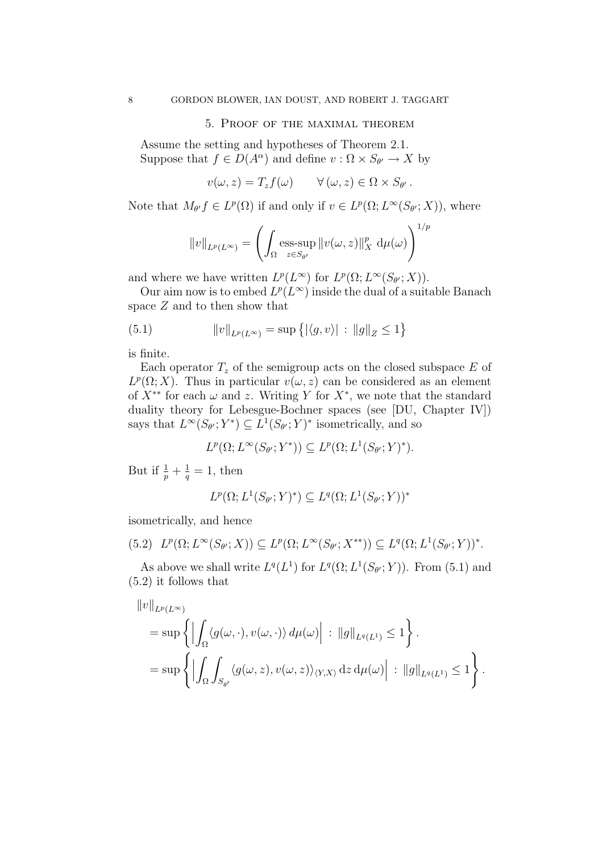### 5. Proof of the maximal theorem

Assume the setting and hypotheses of Theorem 2.1. Suppose that  $f \in D(A^{\alpha})$  and define  $v : \Omega \times S_{\theta'} \to X$  by

$$
v(\omega, z) = T_z f(\omega) \qquad \forall (\omega, z) \in \Omega \times S_{\theta'}.
$$

Note that  $M_{\theta'} f \in L^p(\Omega)$  if and only if  $v \in L^p(\Omega; L^{\infty}(S_{\theta'}; X))$ , where

$$
||v||_{L^p(L^{\infty})} = \left(\int_{\Omega} \operatorname{ess-sup}_{z \in S_{\theta'}} ||v(\omega, z)||_X^p d\mu(\omega)\right)^{1/p}
$$

and where we have written  $L^p(L^{\infty})$  for  $L^p(\Omega; L^{\infty}(S_{\theta'}; X)).$ 

Our aim now is to embed  $L^p(L^\infty)$  inside the dual of a suitable Banach space  $Z$  and to then show that

(5.1) 
$$
||v||_{L^{p}(L^{\infty})} = \sup \{ |\langle g, v \rangle| : ||g||_{Z} \le 1 \}
$$

is finite.

Each operator  $T_z$  of the semigroup acts on the closed subspace  $E$  of  $L^p(\Omega; X)$ . Thus in particular  $v(\omega, z)$  can be considered as an element of  $X^{**}$  for each  $\omega$  and z. Writing Y for  $X^*$ , we note that the standard duality theory for Lebesgue-Bochner spaces (see [DU, Chapter IV]) says that  $L^{\infty}(S_{\theta'}; Y^*) \subseteq L^1(S_{\theta'}; Y)^*$  isometrically, and so

$$
L^p(\Omega; L^\infty(S_{\theta'}; Y^*)) \subseteq L^p(\Omega; L^1(S_{\theta'}; Y)^*).
$$

But if  $\frac{1}{p} + \frac{1}{q} = 1$ , then

$$
L^p(\Omega; L^1(S_{\theta'}; Y)^*) \subseteq L^q(\Omega; L^1(S_{\theta'}; Y))^*
$$

isometrically, and hence

$$
(5.2)\quad L^p(\Omega; L^\infty(S_{\theta'}; X)) \subseteq L^p(\Omega; L^\infty(S_{\theta'}; X^{**})) \subseteq L^q(\Omega; L^1(S_{\theta'}; Y))^*.
$$

As above we shall write  $L^q(L^1)$  for  $L^q(\Omega; L^1(S_{\theta'}; Y))$ . From (5.1) and (5.2) it follows that

$$
\|v\|_{L^p(L^{\infty})}
$$
  
=  $\sup \left\{ \left| \int_{\Omega} \langle g(\omega, \cdot), v(\omega, \cdot) \rangle d\mu(\omega) \right| : \|g\|_{L^q(L^1)} \le 1 \right\}.$   
=  $\sup \left\{ \left| \int_{\Omega} \int_{S_{\theta'}} \langle g(\omega, z), v(\omega, z) \rangle_{\langle Y, X \rangle} dz d\mu(\omega) \right| : \|g\|_{L^q(L^1)} \le 1 \right\}.$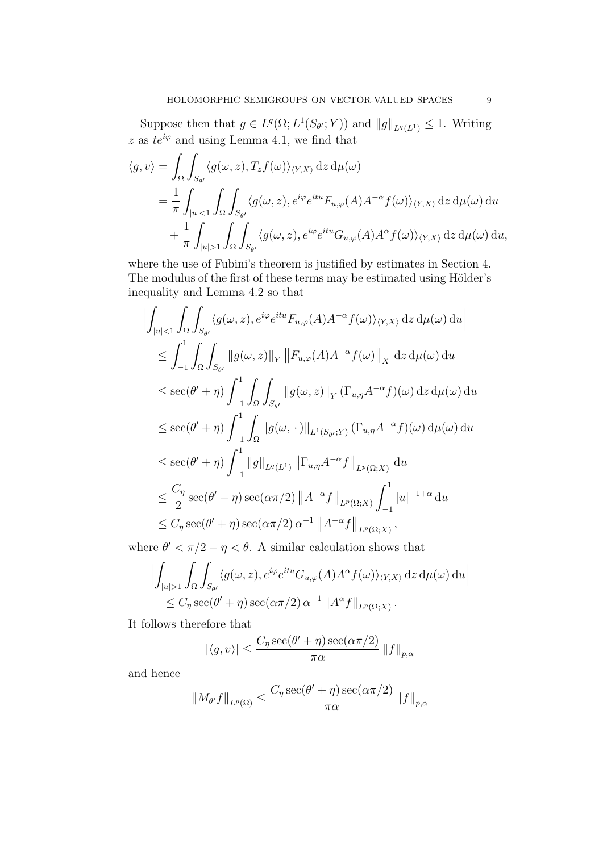Suppose then that  $g \in L^q(\Omega; L^1(S_{\theta'}; Y))$  and  $||g||_{L^q(L^1)} \leq 1$ . Writing z as  $te^{i\varphi}$  and using Lemma 4.1, we find that

$$
\langle g, v \rangle = \int_{\Omega} \int_{S_{\theta'}} \langle g(\omega, z), T_z f(\omega) \rangle_{\langle Y, X \rangle} dz d\mu(\omega)
$$
  
=  $\frac{1}{\pi} \int_{|u| < 1} \int_{\Omega} \int_{S_{\theta'}} \langle g(\omega, z), e^{i\varphi} e^{itu} F_{u, \varphi}(A) A^{-\alpha} f(\omega) \rangle_{\langle Y, X \rangle} dz d\mu(\omega) du$   
+  $\frac{1}{\pi} \int_{|u| > 1} \int_{\Omega} \int_{S_{\theta'}} \langle g(\omega, z), e^{i\varphi} e^{itu} G_{u, \varphi}(A) A^{\alpha} f(\omega) \rangle_{\langle Y, X \rangle} dz d\mu(\omega) du$ ,

where the use of Fubini's theorem is justified by estimates in Section 4. The modulus of the first of these terms may be estimated using Hölder's inequality and Lemma 4.2 so that

$$
\left| \int_{|u|<1} \int_{\Omega} \int_{S_{\theta'}} \langle g(\omega, z), e^{i\varphi} e^{itu} F_{u,\varphi}(A) A^{-\alpha} f(\omega) \rangle_{\langle Y,X} \, dz \, d\mu(\omega) \, du \right|
$$
  
\n
$$
\leq \int_{-1}^{1} \int_{\Omega} \int_{S_{\theta'}} ||g(\omega, z)||_Y ||F_{u,\varphi}(A) A^{-\alpha} f(\omega)||_X \, dz \, d\mu(\omega) \, du
$$
  
\n
$$
\leq \sec(\theta' + \eta) \int_{-1}^{1} \int_{\Omega} \int_{S_{\theta'}} ||g(\omega, z)||_Y (\Gamma_{u,\eta} A^{-\alpha} f)(\omega) \, dz \, d\mu(\omega) \, du
$$
  
\n
$$
\leq \sec(\theta' + \eta) \int_{-1}^{1} \int_{\Omega} ||g(\omega, \cdot)||_{L^1(S_{\theta'};Y)} (\Gamma_{u,\eta} A^{-\alpha} f)(\omega) \, d\mu(\omega) \, du
$$
  
\n
$$
\leq \sec(\theta' + \eta) \int_{-1}^{1} ||g||_{L^q(L^1)} ||\Gamma_{u,\eta} A^{-\alpha} f||_{L^p(\Omega;X)} \, du
$$
  
\n
$$
\leq \frac{C_{\eta}}{2} \sec(\theta' + \eta) \sec(\alpha \pi/2) ||A^{-\alpha} f||_{L^p(\Omega;X)} \int_{-1}^{1} |u|^{-1+\alpha} du
$$
  
\n
$$
\leq C_{\eta} \sec(\theta' + \eta) \sec(\alpha \pi/2) \alpha^{-1} ||A^{-\alpha} f||_{L^p(\Omega;X)},
$$

where  $\theta' < \pi/2 - \eta < \theta$ . A similar calculation shows that

$$
\left| \int_{|u|>1} \int_{\Omega} \int_{S_{\theta'}} \langle g(\omega, z), e^{i\varphi} e^{itu} G_{u,\varphi}(A) A^{\alpha} f(\omega) \rangle_{\langle Y,X} \rangle \,dz \,d\mu(\omega) \,du \right|
$$
  

$$
\leq C_{\eta} \sec(\theta' + \eta) \sec(\alpha \pi/2) \, \alpha^{-1} \, \|A^{\alpha} f\|_{L^{p}(\Omega;X)}.
$$

It follows therefore that

$$
|\langle g, v \rangle| \le \frac{C_{\eta} \sec(\theta' + \eta) \sec(\alpha \pi/2)}{\pi \alpha} ||f||_{p, \alpha}
$$

and hence

$$
||M_{\theta'}f||_{L^{p}(\Omega)} \leq \frac{C_{\eta} \sec(\theta' + \eta) \sec(\alpha \pi/2)}{\pi \alpha} ||f||_{p,\alpha}
$$